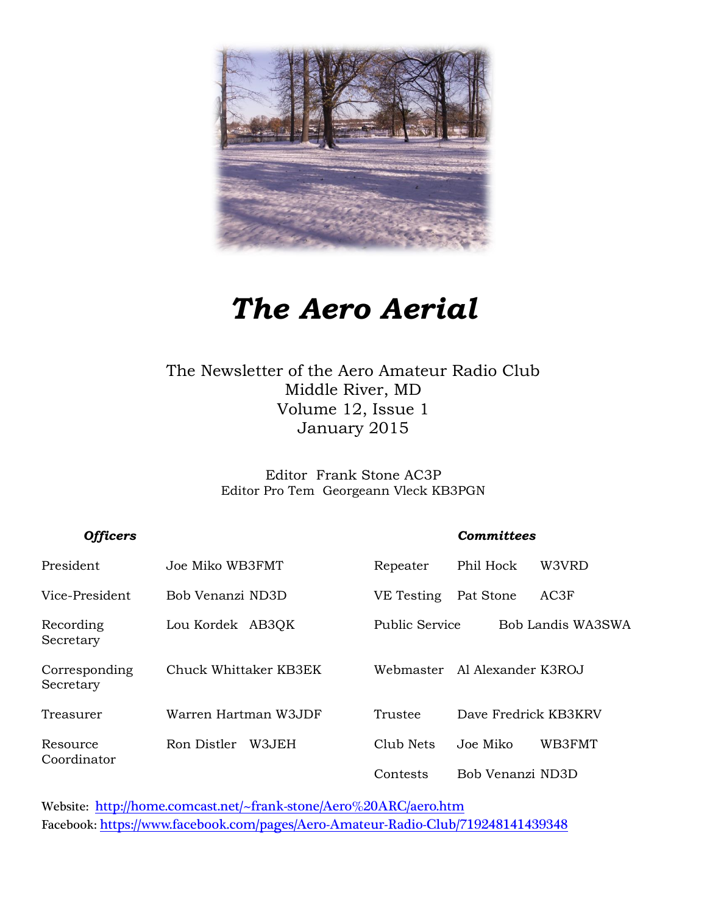

# *The Aero Aerial*

### The Newsletter of the Aero Amateur Radio Club Middle River, MD Volume 12, Issue 1 January 2015

Editor Frank Stone AC3P Editor Pro Tem Georgeann Vleck KB3PGN

#### *Officers Committees*

| President                  | Joe Miko WB3FMT       | Repeater       | Phil Hock            | W3VRD             |
|----------------------------|-----------------------|----------------|----------------------|-------------------|
| Vice-President             | Bob Venanzi ND3D      | VE Testing     | Pat Stone            | AC3F              |
| Recording<br>Secretary     | Lou Kordek AB3QK      | Public Service |                      | Bob Landis WA3SWA |
| Corresponding<br>Secretary | Chuck Whittaker KB3EK | Webmaster      | Al Alexander K3ROJ   |                   |
| Treasurer                  | Warren Hartman W3JDF  | Trustee        | Dave Fredrick KB3KRV |                   |
| Resource<br>Coordinator    | Ron Distler<br>W3.JEH | Club Nets      | Joe Miko             | WB3FMT            |
|                            |                       | Contests       | Bob Venanzi ND3D     |                   |

Website: <http://home.comcast.net/~frank-stone/Aero%20ARC/aero.htm> Facebook: <https://www.facebook.com/pages/Aero-Amateur-Radio-Club/719248141439348>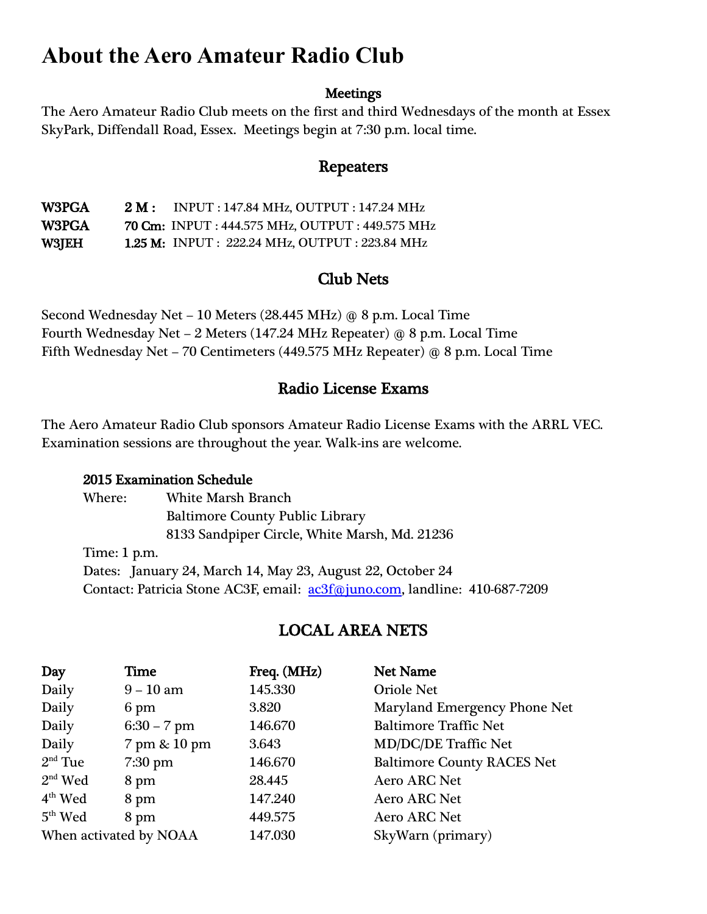## **About the Aero Amateur Radio Club**

#### **Meetings**

The Aero Amateur Radio Club meets on the first and third Wednesdays of the month at Essex SkyPark, Diffendall Road, Essex. Meetings begin at 7:30 p.m. local time.

### Repeaters

W3PGA 2 M: INPUT: 147.84 MHz, OUTPUT: 147.24 MHz W3PGA 70 Cm: INPUT : 444.575 MHz, OUTPUT : 449.575 MHz W3JEH 1.25 M: INPUT : 222.24 MHz, OUTPUT : 223.84 MHz

### Club Nets

Second Wednesday Net – 10 Meters (28.445 MHz) @ 8 p.m. Local Time Fourth Wednesday Net – 2 Meters (147.24 MHz Repeater) @ 8 p.m. Local Time Fifth Wednesday Net – 70 Centimeters (449.575 MHz Repeater) @ 8 p.m. Local Time

### Radio License Exams

The Aero Amateur Radio Club sponsors Amateur Radio License Exams with the ARRL VEC. Examination sessions are throughout the year. Walk-ins are welcome.

#### 2015 Examination Schedule

Where: White Marsh Branch Baltimore County Public Library 8133 Sandpiper Circle, White Marsh, Md. 21236 Time: 1 p.m. Dates: January 24, March 14, May 23, August 22, October 24 Contact: Patricia Stone AC3F, email: [ac3f@juno.com,](mailto:ac3f@juno.com) landline: 410-687-7209

### LOCAL AREA NETS

| Day                    | Time          | Freq. (MHz) | Net Name                          |
|------------------------|---------------|-------------|-----------------------------------|
| Daily                  | $9 - 10$ am   | 145.330     | <b>Oriole Net</b>                 |
| Daily                  | 6 pm          | 3.820       | Maryland Emergency Phone Net      |
| Daily                  | $6:30 - 7$ pm | 146.670     | <b>Baltimore Traffic Net</b>      |
| Daily                  | 7 pm & 10 pm  | 3.643       | <b>MD/DC/DE Traffic Net</b>       |
| $2nd$ Tue              | 7:30 pm       | 146.670     | <b>Baltimore County RACES Net</b> |
| $2nd$ Wed              | 8 pm          | 28.445      | <b>Aero ARC Net</b>               |
| $4th$ Wed              | 8 pm          | 147.240     | <b>Aero ARC Net</b>               |
| $5th$ Wed              | 8 pm          | 449.575     | <b>Aero ARC Net</b>               |
| When activated by NOAA |               | 147.030     | SkyWarn (primary)                 |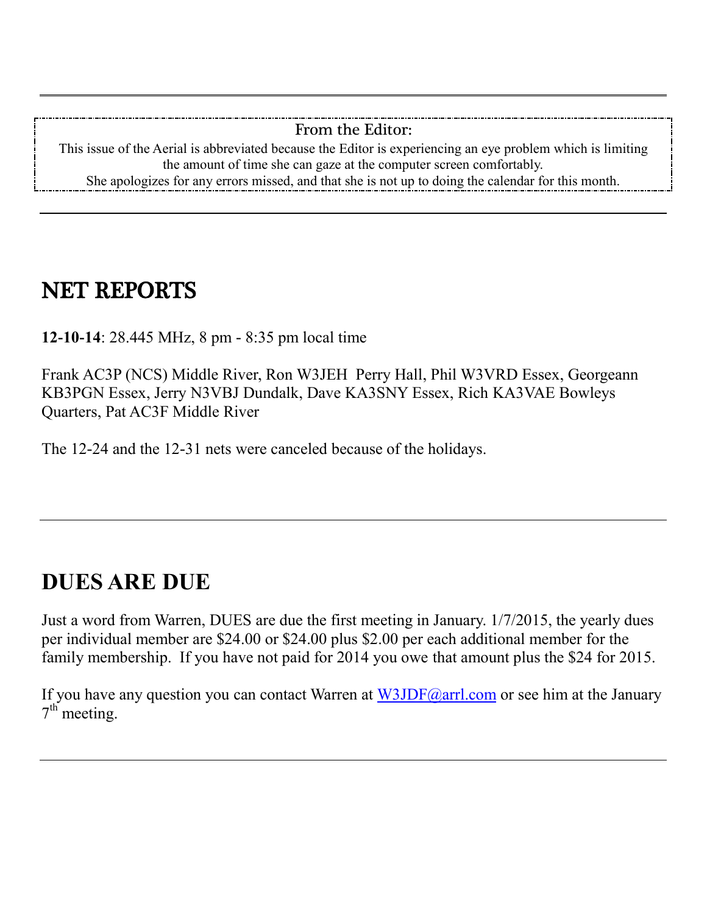#### From the Editor:

This issue of the Aerial is abbreviated because the Editor is experiencing an eye problem which is limiting the amount of time she can gaze at the computer screen comfortably. She apologizes for any errors missed, and that she is not up to doing the calendar for this month.

# NET REPORTS

**12-10-14**: 28.445 MHz, 8 pm - 8:35 pm local time

Frank AC3P (NCS) Middle River, Ron W3JEH Perry Hall, Phil W3VRD Essex, Georgeann KB3PGN Essex, Jerry N3VBJ Dundalk, Dave KA3SNY Essex, Rich KA3VAE Bowleys Quarters, Pat AC3F Middle River

The 12-24 and the 12-31 nets were canceled because of the holidays.

# **DUES ARE DUE**

Just a word from Warren, DUES are due the first meeting in January. 1/7/2015, the yearly dues per individual member are \$24.00 or \$24.00 plus \$2.00 per each additional member for the family membership. If you have not paid for 2014 you owe that amount plus the \$24 for 2015.

If you have any question you can contact Warren at  $W3JDF(Q)$ arrl.com or see him at the January 7<sup>th</sup> meeting.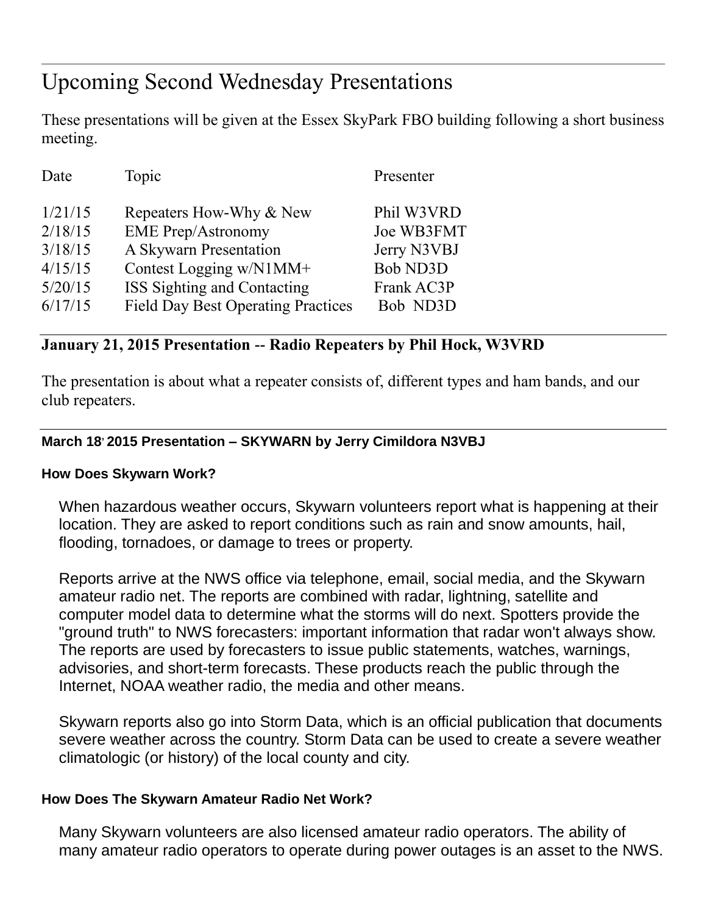# Upcoming Second Wednesday Presentations

These presentations will be given at the Essex SkyPark FBO building following a short business meeting.

| Date    | Topic                                     | Presenter       |
|---------|-------------------------------------------|-----------------|
| 1/21/15 | Repeaters How-Why & New                   | Phil W3VRD      |
| 2/18/15 | <b>EME Prep/Astronomy</b>                 | Joe WB3FMT      |
| 3/18/15 | A Skywarn Presentation                    | Jerry N3VBJ     |
| 4/15/15 | Contest Logging w/N1MM+                   | <b>Bob ND3D</b> |
| 5/20/15 | ISS Sighting and Contacting               | Frank AC3P      |
| 6/17/15 | <b>Field Day Best Operating Practices</b> | Bob ND3D        |

### **January 21, 2015 Presentation -- Radio Repeaters by Phil Hock, W3VRD**

The presentation is about what a repeater consists of, different types and ham bands, and our club repeaters.

#### **March 18, 2015 Presentation – SKYWARN by Jerry Cimildora N3VBJ**

#### **How Does Skywarn Work?**

When hazardous weather occurs, Skywarn volunteers report what is happening at their location. They are asked to report conditions such as rain and snow amounts, hail, flooding, tornadoes, or damage to trees or property.

Reports arrive at the NWS office via telephone, email, social media, and the Skywarn amateur radio net. The reports are combined with radar, lightning, satellite and computer model data to determine what the storms will do next. Spotters provide the "ground truth" to NWS forecasters: important information that radar won't always show. The reports are used by forecasters to issue public statements, watches, warnings, advisories, and short-term forecasts. These products reach the public through the Internet, NOAA weather radio, the media and other means.

Skywarn reports also go into Storm Data, which is an official publication that documents severe weather across the country. Storm Data can be used to create a severe weather climatologic (or history) of the local county and city.

#### **How Does The Skywarn Amateur Radio Net Work?**

Many Skywarn volunteers are also licensed amateur radio operators. The ability of many amateur radio operators to operate during power outages is an asset to the NWS.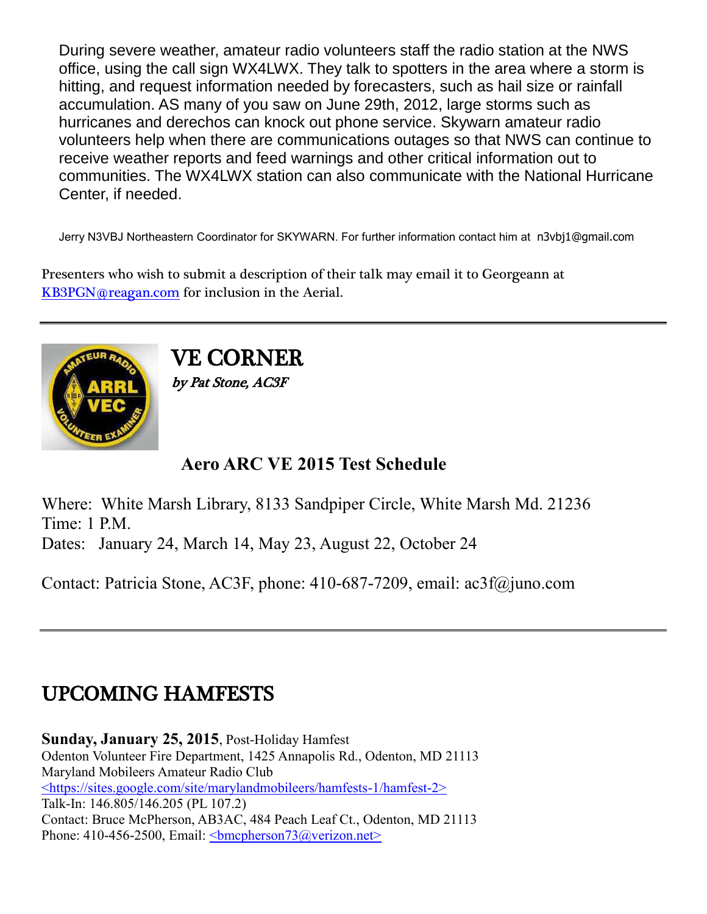During severe weather, amateur radio volunteers staff the radio station at the NWS office, using the call sign WX4LWX. They talk to spotters in the area where a storm is hitting, and request information needed by forecasters, such as hail size or rainfall accumulation. AS many of you saw on June 29th, 2012, large storms such as hurricanes and derechos can knock out phone service. Skywarn amateur radio volunteers help when there are communications outages so that NWS can continue to receive weather reports and feed warnings and other critical information out to communities. The WX4LWX station can also communicate with the National Hurricane Center, if needed.

Jerry N3VBJ Northeastern Coordinator for SKYWARN. For further information contact him at n3vbj1@gmail.com

Presenters who wish to submit a description of their talk may email it to Georgeann at [KB3PGN@reagan.com](mailto:KB3PGN@reagan.com) for inclusion in the Aerial.



VE CORNER by Pat Stone, AC3F

### **Aero ARC VE 2015 Test Schedule**

Where: White Marsh Library, 8133 Sandpiper Circle, White Marsh Md. 21236 Time: 1 P.M. Dates: January 24, March 14, May 23, August 22, October 24

Contact: Patricia Stone, AC3F, phone: 410-687-7209, email: ac3f@juno.com

# UPCOMING HAMFESTS

**Sunday, January 25, 2015**, Post-Holiday Hamfest Odenton Volunteer Fire Department, 1425 Annapolis Rd., Odenton, MD 21113 Maryland Mobileers Amateur Radio Club [<https://sites.google.com/site/marylandmobileers/hamfests-1/hamfest-2>](https://sites.google.com/site/marylandmobileers/hamfests-1/hamfest-2) Talk-In: 146.805/146.205 (PL 107.2) Contact: Bruce McPherson, AB3AC, 484 Peach Leaf Ct., Odenton, MD 21113 Phone: 410-456-2500, Email:  $\leq$ bmcpherson $73$ @verizon.net $\geq$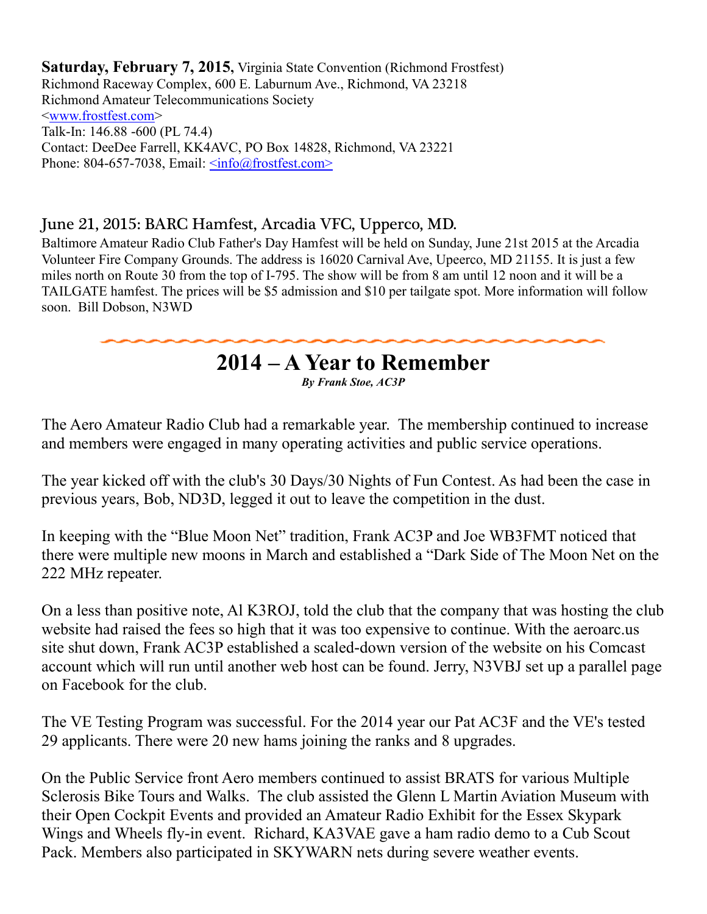**Saturday, February 7, 2015,** Virginia State Convention (Richmond Frostfest) Richmond Raceway Complex, 600 E. Laburnum Ave., Richmond, VA 23218 Richmond Amateur Telecommunications Society [<www.frostfest.com>](http://www.frostfest.com/) Talk-In: 146.88 -600 (PL 74.4) Contact: DeeDee Farrell, KK4AVC, PO Box 14828, Richmond, VA 23221 Phone: 804-657-7038, Email:  $\langle \text{info}(\hat{a}) \text{frostfest.com} \rangle$ 

### June 21, 2015: BARC Hamfest, Arcadia VFC, Upperco, MD.

Baltimore Amateur Radio Club Father's Day Hamfest will be held on Sunday, June 21st 2015 at the Arcadia Volunteer Fire Company Grounds. The address is 16020 Carnival Ave, Upeerco, MD 21155. It is just a few miles north on Route 30 from the top of I-795. The show will be from 8 am until 12 noon and it will be a TAILGATE hamfest. The prices will be \$5 admission and \$10 per tailgate spot. More information will follow soon. Bill Dobson, N3WD

### **2014 – A Year to Remember**

*By Frank Stoe, AC3P*

The Aero Amateur Radio Club had a remarkable year. The membership continued to increase and members were engaged in many operating activities and public service operations.

The year kicked off with the club's 30 Days/30 Nights of Fun Contest. As had been the case in previous years, Bob, ND3D, legged it out to leave the competition in the dust.

In keeping with the "Blue Moon Net" tradition, Frank AC3P and Joe WB3FMT noticed that there were multiple new moons in March and established a "Dark Side of The Moon Net on the 222 MHz repeater.

On a less than positive note, Al K3ROJ, told the club that the company that was hosting the club website had raised the fees so high that it was too expensive to continue. With the aeroarc.us site shut down, Frank AC3P established a scaled-down version of the website on his Comcast account which will run until another web host can be found. Jerry, N3VBJ set up a parallel page on Facebook for the club.

The VE Testing Program was successful. For the 2014 year our Pat AC3F and the VE's tested 29 applicants. There were 20 new hams joining the ranks and 8 upgrades.

On the Public Service front Aero members continued to assist BRATS for various Multiple Sclerosis Bike Tours and Walks. The club assisted the Glenn L Martin Aviation Museum with their Open Cockpit Events and provided an Amateur Radio Exhibit for the Essex Skypark Wings and Wheels fly-in event. Richard, KA3VAE gave a ham radio demo to a Cub Scout Pack. Members also participated in SKYWARN nets during severe weather events.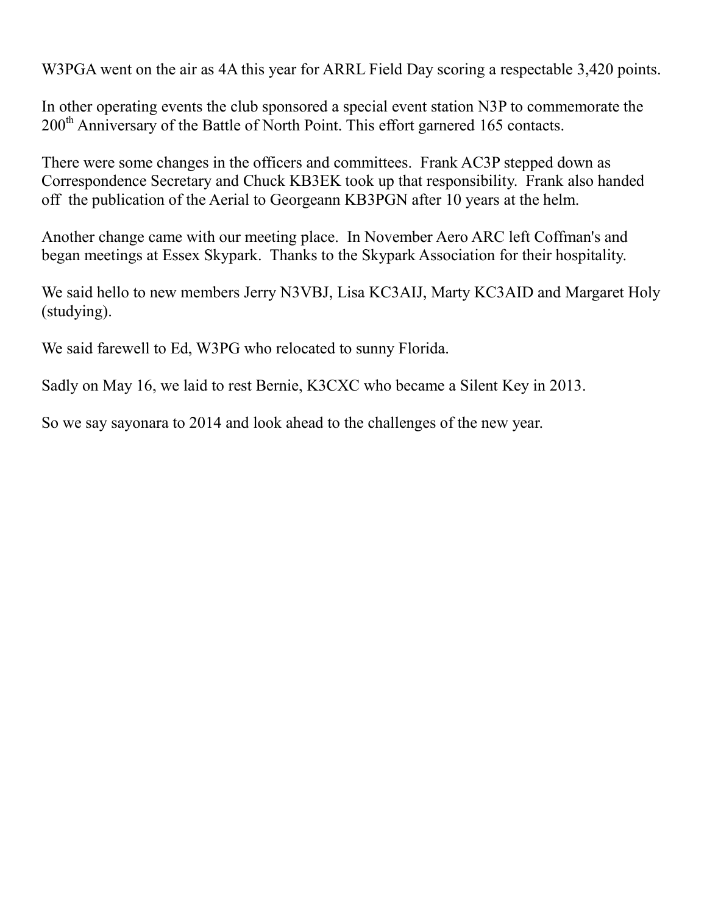W3PGA went on the air as 4A this year for ARRL Field Day scoring a respectable 3,420 points.

In other operating events the club sponsored a special event station N3P to commemorate the 200<sup>th</sup> Anniversary of the Battle of North Point. This effort garnered 165 contacts.

There were some changes in the officers and committees. Frank AC3P stepped down as Correspondence Secretary and Chuck KB3EK took up that responsibility. Frank also handed off the publication of the Aerial to Georgeann KB3PGN after 10 years at the helm.

Another change came with our meeting place. In November Aero ARC left Coffman's and began meetings at Essex Skypark. Thanks to the Skypark Association for their hospitality.

We said hello to new members Jerry N3VBJ, Lisa KC3AIJ, Marty KC3AID and Margaret Holy (studying).

We said farewell to Ed, W3PG who relocated to sunny Florida.

Sadly on May 16, we laid to rest Bernie, K3CXC who became a Silent Key in 2013.

So we say sayonara to 2014 and look ahead to the challenges of the new year.